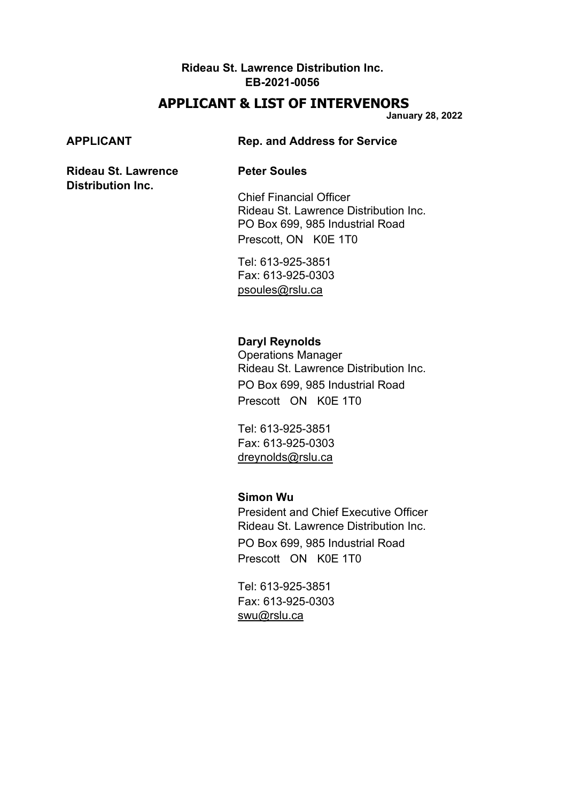#### **Rideau St. Lawrence Distribution Inc. EB-2021-0056**

# **APPLICANT & LIST OF INTERVENORS**

**January 28, 2022**

**Distribution Inc.**

#### **APPLICANT Rep. and Address for Service**

#### **Rideau St. Lawrence Peter Soules**

Chief Financial Officer Rideau St. Lawrence Distribution Inc. PO Box 699, 985 Industrial Road Prescott, ON K0E 1T0

Tel: 613-925-3851 Fax: 613-925-0303 [psoules@rslu.ca](mailto:psoules@rslu.ca)

#### **Daryl Reynolds**

Operations Manager Rideau St. Lawrence Distribution Inc. PO Box 699, 985 Industrial Road Prescott ON K0E 1T0

Tel: 613-925-3851 Fax: 613-925-0303 [dreynolds@rslu.ca](mailto:dreynolds@rslu.ca)

### **Simon Wu**

President and Chief Executive Officer Rideau St. Lawrence Distribution Inc. PO Box 699, 985 Industrial Road Prescott ON K0E 1T0

Tel: 613-925-3851 Fax: 613-925-0303 [swu@rslu.ca](mailto:swu@rslu.ca)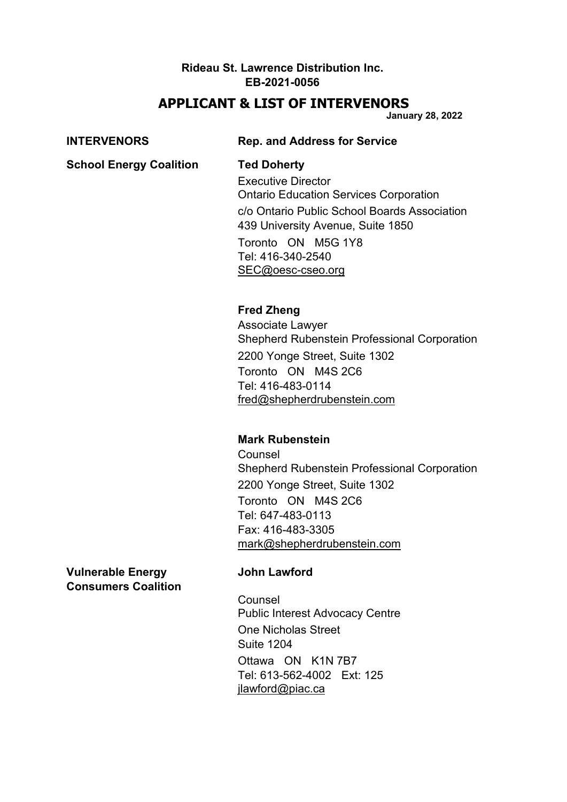### **Rideau St. Lawrence Distribution Inc. EB-2021-0056**

# **APPLICANT & LIST OF INTERVENORS**

**January 28, 2022**

| <b>INTERVENORS</b>             | <b>Rep. and Address for Service</b>                                                                                                                                                                                                                   |
|--------------------------------|-------------------------------------------------------------------------------------------------------------------------------------------------------------------------------------------------------------------------------------------------------|
| <b>School Energy Coalition</b> | <b>Ted Doherty</b><br><b>Executive Director</b><br><b>Ontario Education Services Corporation</b><br>c/o Ontario Public School Boards Association<br>439 University Avenue, Suite 1850<br>Toronto ON M5G 1Y8<br>Tel: 416-340-2540<br>SEC@oesc-cseo.org |
|                                | <b>Fred Zheng</b><br>Associate Lawyer<br><b>Shepherd Rubenstein Professional Corporation</b><br>2200 Yonge Street, Suite 1302<br>Toronto ON M4S 2C6<br>Tel: 416-483-0114<br>fred@shepherdrubenstein.com                                               |
|                                | <b>Mark Rubenstein</b><br>Counsel<br><b>Shepherd Rubenstein Professional Corporation</b>                                                                                                                                                              |

2200 Yonge Street, Suite 1302 Toronto ON M4S 2C6 Tel: 647-483-0113 Fax: 416-483-3305 [mark@shepherdrubenstein.com](mailto:mark@shepherdrubenstein.com)

**Vulnerable Energy John Lawford Consumers Coalition**

Counsel Public Interest Advocacy Centre One Nicholas Street Suite 1204 Ottawa ON K1N 7B7 Tel: 613-562-4002 Ext: 125 [jlawford@piac.ca](mailto:jlawford@piac.ca)